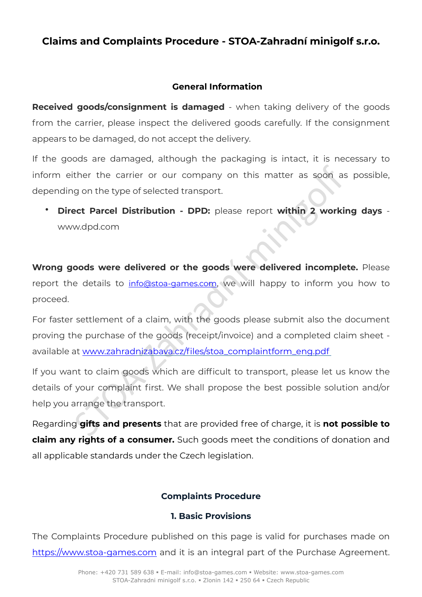# **Claims and Complaints Procedure - STOA-Zahradní minigolf s.r.o.**

### **General Information**

**Received goods/consignment is damaged** - when taking delivery of the goods from the carrier, please inspect the delivered goods carefully. If the consignment appears to be damaged, do not accept the delivery.

If the goods are damaged, although the packaging is intact, it is necessary to inform either the carrier or our company on this matter as soon as possible, depending on the type of selected transport.

• **Direct Parcel Distribution - DPD:** please report **within 2 working days**  www.dpd.com

**Wrong goods were delivered or the goods were delivered incomplete.** Please report the details to info@stoa-games.com, we will happy to inform you how to proceed.

ther the carrier or our company on this matter as soon as<br>g on the type of selecte[d](mailto:info@stoa-games.com) transport.<br>
Stock transport of the goods vere delivered incomple<br>
stated bistribution - DPD: please report within 2 working<br>
stated bistri For faster settlement of a claim, with the goods please submit also the document proving the purchase of the goods (receipt/invoice) and a completed claim sheet available at www.zahradnizabava.cz/files/stoa\_complaintform\_eng.pdf

If you want to claim goods which are difficult to transport, please let us know the details of your complaint first. We shall propose the best possible solution and/or help you arrange the transport.

Regarding **gifts and presents** that are provided free of charge, it is **not possible to claim any rights of a consumer.** Such goods meet the conditions of donation and all applicable standards under the Czech legislation.

## **Complaints Procedure**

## **1. Basic Provisions**

The Complaints Procedure published on this page is valid for purchases made on <https://www.stoa-games.com> and it is an integral part of the Purchase Agreement.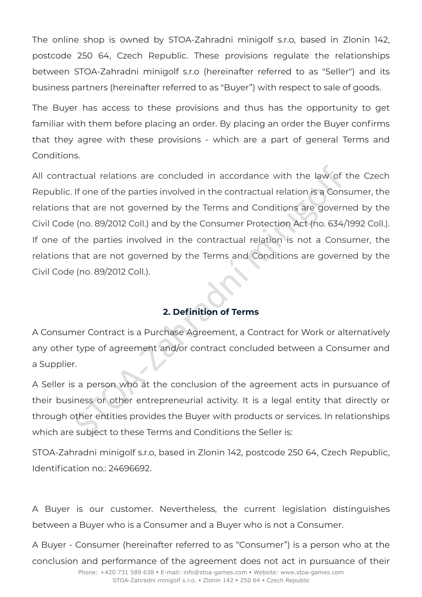The online shop is owned by STOA-Zahradni minigolf s.r.o, based in Zlonin 142, postcode 250 64, Czech Republic. These provisions regulate the relationships between STOA-Zahradni minigolf s.r.o (hereinafter referred to as "Seller") and its business partners (hereinafter referred to as "Buyer") with respect to sale of goods.

The Buyer has access to these provisions and thus has the opportunity to get familiar with them before placing an order. By placing an order the Buyer confirms that they agree with these provisions - which are a part of general Terms and Conditions.

noticual relations are concluded in accordance with the law of<br>
If one of the parties involved in the contractual relation is a Const<br>
that are not governed by the Terms and Conditions are govern<br>
(no. 89/2012 Coll.) and b All contractual relations are concluded in accordance with the law of the Czech Republic. If one of the parties involved in the contractual relation is a Consumer, the relations that are not governed by the Terms and Conditions are governed by the Civil Code (no. 89/2012 Coll.) and by the Consumer Protection Act (no. 634/1992 Coll.). If one of the parties involved in the contractual relation is not a Consumer, the relations that are not governed by the Terms and Conditions are governed by the Civil Code (no. 89/2012 Coll.).

## **2. Definition of Terms**

A Consumer Contract is a Purchase Agreement, a Contract for Work or alternatively any other type of agreement and/or contract concluded between a Consumer and a Supplier.

A Seller is a person who at the conclusion of the agreement acts in pursuance of their business or other entrepreneurial activity. It is a legal entity that directly or through other entities provides the Buyer with products or services. In relationships which are subject to these Terms and Conditions the Seller is:

STOA-Zahradni minigolf s.r.o, based in Zlonin 142, postcode 250 64, Czech Republic, Identification no.: 24696692.

A Buyer is our customer. Nevertheless, the current legislation distinguishes between a Buyer who is a Consumer and a Buyer who is not a Consumer.

A Buyer - Consumer (hereinafter referred to as "Consumer") is a person who at the conclusion and performance of the agreement does not act in pursuance of their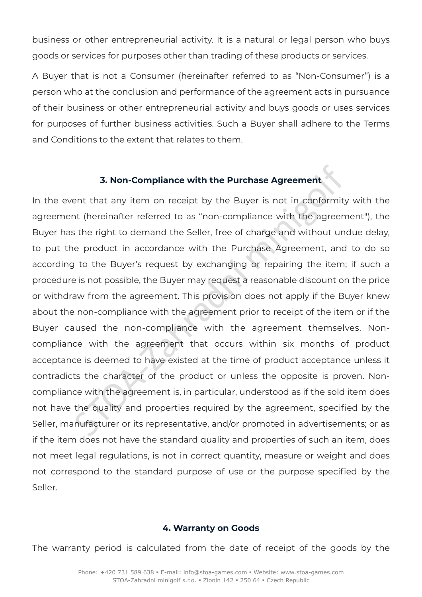business or other entrepreneurial activity. It is a natural or legal person who buys goods or services for purposes other than trading of these products or services.

A Buyer that is not a Consumer (hereinafter referred to as "Non-Consumer") is a person who at the conclusion and performance of the agreement acts in pursuance of their business or other entrepreneurial activity and buys goods or uses services for purposes of further business activities. Such a Buyer shall adhere to the Terms and Conditions to the extent that relates to them.

#### **3. Non-Compliance with the Purchase Agreement**

**3. Non-Compliance with the Purchase Agreement**<br>ent that any item on receipt by the Buyer is not in conformit<br>t (hereinafter referred to as "non-compliance with the agreen<br>sthe right to demand the Seller, free of charge an In the event that any item on receipt by the Buyer is not in conformity with the agreement (hereinafter referred to as "non-compliance with the agreement"), the Buyer has the right to demand the Seller, free of charge and without undue delay, to put the product in accordance with the Purchase Agreement, and to do so according to the Buyer's request by exchanging or repairing the item; if such a procedure is not possible, the Buyer may request a reasonable discount on the price or withdraw from the agreement. This provision does not apply if the Buyer knew about the non-compliance with the agreement prior to receipt of the item or if the Buyer caused the non-compliance with the agreement themselves. Noncompliance with the agreement that occurs within six months of product acceptance is deemed to have existed at the time of product acceptance unless it contradicts the character of the product or unless the opposite is proven. Noncompliance with the agreement is, in particular, understood as if the sold item does not have the quality and properties required by the agreement, specified by the Seller, manufacturer or its representative, and/or promoted in advertisements; or as if the item does not have the standard quality and properties of such an item, does not meet legal regulations, is not in correct quantity, measure or weight and does not correspond to the standard purpose of use or the purpose specified by the Seller.

#### **4. Warranty on Goods**

The warranty period is calculated from the date of receipt of the goods by the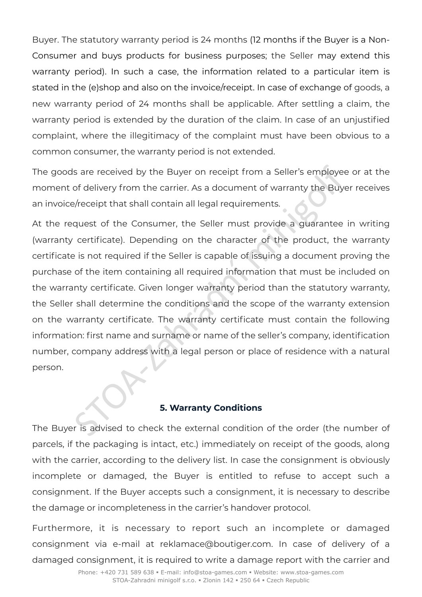Buyer. The statutory warranty period is 24 months (12 months if the Buyer is a Non-Consumer and buys products for business purposes; the Seller may extend this warranty period). In such a case, the information related to a particular item is stated in the (e)shop and also on the invoice/receipt. In case of exchange of goods, a new warranty period of 24 months shall be applicable. After settling a claim, the warranty period is extended by the duration of the claim. In case of an unjustified complaint, where the illegitimacy of the complaint must have been obvious to a common consumer, the warranty period is not extended.

The goods are received by the Buyer on receipt from a Seller's employee or at the moment of delivery from the carrier. As a document of warranty the Buyer receives an invoice/receipt that shall contain all legal requirements.

STOR are received by the Buyer on receipt from a Seller's employer of delivery from the carrier. As a document of warranty the Buyer (receipt that shall contain all legal requirements.<br>
Alter expecting that shall contain a At the request of the Consumer, the Seller must provide a guarantee in writing (warranty certificate). Depending on the character of the product, the warranty certificate is not required if the Seller is capable of issuing a document proving the purchase of the item containing all required information that must be included on the warranty certificate. Given longer warranty period than the statutory warranty, the Seller shall determine the conditions and the scope of the warranty extension on the warranty certificate. The warranty certificate must contain the following information: first name and surname or name of the seller's company, identification number, company address with a legal person or place of residence with a natural person.

#### **5. Warranty Conditions**

The Buyer is advised to check the external condition of the order (the number of parcels, if the packaging is intact, etc.) immediately on receipt of the goods, along with the carrier, according to the delivery list. In case the consignment is obviously incomplete or damaged, the Buyer is entitled to refuse to accept such a consignment. If the Buyer accepts such a consignment, it is necessary to describe the damage or incompleteness in the carrier's handover protocol.

Furthermore, it is necessary to report such an incomplete or damaged consignment via e-mail at reklamace@boutiger.com. In case of delivery of a damaged consignment, it is required to write a damage report with the carrier and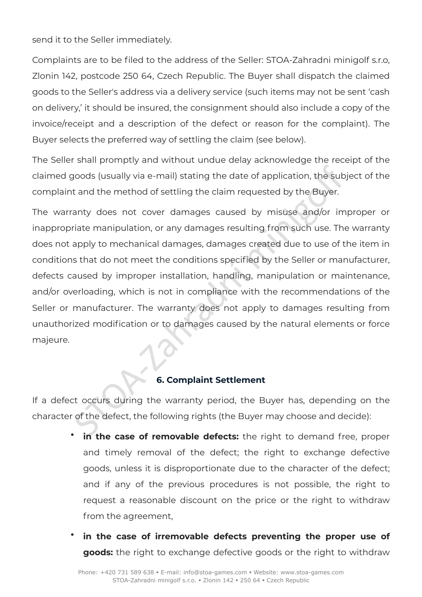send it to the Seller immediately.

Complaints are to be filed to the address of the Seller: STOA-Zahradni minigolf s.r.o, Zlonin 142, postcode 250 64, Czech Republic. The Buyer shall dispatch the claimed goods to the Seller's address via a delivery service (such items may not be sent 'cash on delivery,' it should be insured, the consignment should also include a copy of the invoice/receipt and a description of the defect or reason for the complaint). The Buyer selects the preferred way of settling the claim (see below).

The Seller shall promptly and without undue delay acknowledge the receipt of the claimed goods (usually via e-mail) stating the date of application, the subject of the complaint and the method of settling the claim requested by the Buyer.

station, the subsemible of settling the date of application, the subsement of settling the date of application, the subsement of the method of settling the claim requested by the Buyer.<br>
Standardon in the method of settlin The warranty does not cover damages caused by misuse and/or improper or inappropriate manipulation, or any damages resulting from such use. The warranty does not apply to mechanical damages, damages created due to use of the item in conditions that do not meet the conditions specified by the Seller or manufacturer, defects caused by improper installation, handling, manipulation or maintenance, and/or overloading, which is not in compliance with the recommendations of the Seller or manufacturer. The warranty does not apply to damages resulting from unauthorized modification or to damages caused by the natural elements or force majeure.

### **6. Complaint Settlement**

If a defect occurs during the warranty period, the Buyer has, depending on the character of the defect, the following rights (the Buyer may choose and decide):

- in the case of removable defects: the right to demand free, proper and timely removal of the defect; the right to exchange defective goods, unless it is disproportionate due to the character of the defect; and if any of the previous procedures is not possible, the right to request a reasonable discount on the price or the right to withdraw from the agreement,
- **in the case of irremovable defects preventing the proper use of goods:** the right to exchange defective goods or the right to withdraw